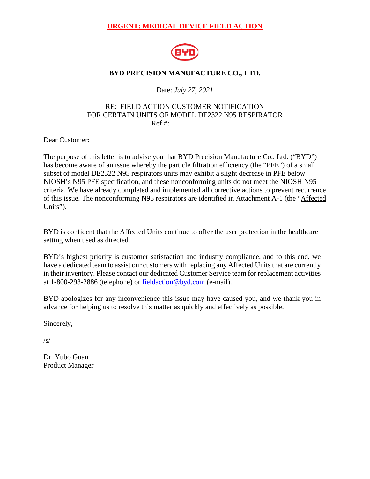# **URGENT: MEDICAL DEVICE FIELD ACTION**



## **BYD PRECISION MANUFACTURE CO., LTD.**

Date: *July 27, 2021*

### RE: FIELD ACTION CUSTOMER NOTIFICATION FOR CERTAIN UNITS OF MODEL DE2322 N95 RESPIRATOR  $\operatorname{Ref}$  #:

Dear Customer:

The purpose of this letter is to advise you that BYD Precision Manufacture Co., Ltd. ("BYD") has become aware of an issue whereby the particle filtration efficiency (the "PFE") of a small subset of model DE2322 N95 respirators units may exhibit a slight decrease in PFE below NIOSH's N95 PFE specification, and these nonconforming units do not meet the NIOSH N95 criteria. We have already completed and implemented all corrective actions to prevent recurrence of this issue. The nonconforming N95 respirators are identified in Attachment A-1 (the "Affected Units").

BYD is confident that the Affected Units continue to offer the user protection in the healthcare setting when used as directed.

BYD's highest priority is customer satisfaction and industry compliance, and to this end, we have a dedicated team to assist our customers with replacing any Affected Units that are currently in their inventory. Please contact our dedicated Customer Service team for replacement activities at 1-800-293-2886 (telephone) or [fieldaction@byd.com](mailto:fieldaction@byd.com) (e-mail).

BYD apologizes for any inconvenience this issue may have caused you, and we thank you in advance for helping us to resolve this matter as quickly and effectively as possible.

Sincerely,

/s/

Dr. Yubo Guan Product Manager